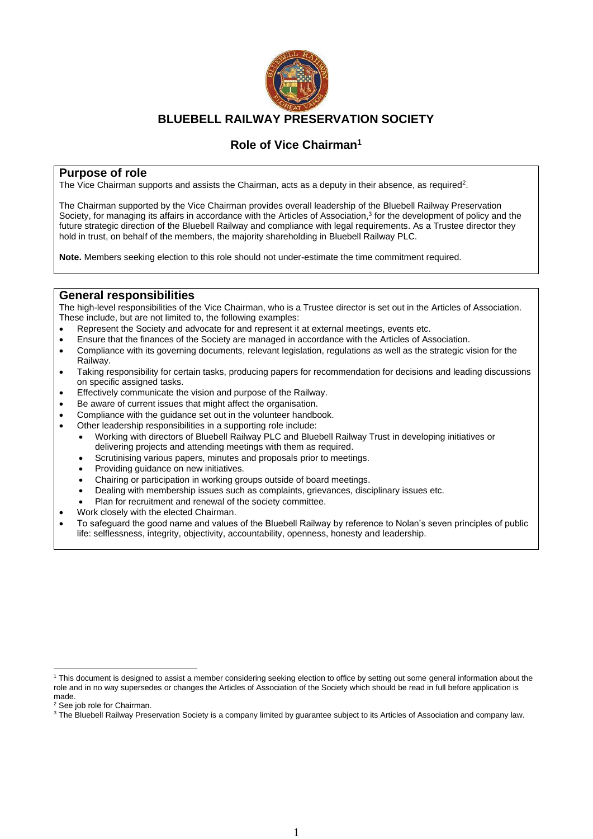

# **BLUEBELL RAILWAY PRESERVATION SOCIETY**

# **Role of Vice Chairman<sup>1</sup>**

### **Purpose of role**

The Vice Chairman supports and assists the Chairman, acts as a deputy in their absence, as required<sup>2</sup>.

The Chairman supported by the Vice Chairman provides overall leadership of the Bluebell Railway Preservation Society, for managing its affairs in accordance with the Articles of Association,<sup>3</sup> for the development of policy and the future strategic direction of the Bluebell Railway and compliance with legal requirements. As a Trustee director they hold in trust, on behalf of the members, the majority shareholding in Bluebell Railway PLC.

**Note.** Members seeking election to this role should not under-estimate the time commitment required.

### **General responsibilities**

The high-level responsibilities of the Vice Chairman, who is a Trustee director is set out in the Articles of Association. These include, but are not limited to, the following examples:

- Represent the Society and advocate for and represent it at external meetings, events etc.
- Ensure that the finances of the Society are managed in accordance with the Articles of Association.
- Compliance with its governing documents, relevant legislation, regulations as well as the strategic vision for the Railway.
- Taking responsibility for certain tasks, producing papers for recommendation for decisions and leading discussions on specific assigned tasks.
- Effectively communicate the vision and purpose of the Railway.
- Be aware of current issues that might affect the organisation.
- Compliance with the quidance set out in the volunteer handbook.
- Other leadership responsibilities in a supporting role include:
	- Working with directors of Bluebell Railway PLC and Bluebell Railway Trust in developing initiatives or delivering projects and attending meetings with them as required.
	- Scrutinising various papers, minutes and proposals prior to meetings.
	- Providing guidance on new initiatives.
	- Chairing or participation in working groups outside of board meetings.
	- Dealing with membership issues such as complaints, grievances, disciplinary issues etc.
	- Plan for recruitment and renewal of the society committee.
- Work closely with the elected Chairman.
- To safeguard the good name and values of the Bluebell Railway by reference to Nolan's seven principles of public life: selflessness, integrity, objectivity, accountability, openness, honesty and leadership.

<sup>1</sup> This document is designed to assist a member considering seeking election to office by setting out some general information about the role and in no way supersedes or changes the Articles of Association of the Society which should be read in full before application is made.

<sup>2</sup> See job role for Chairman.

<sup>&</sup>lt;sup>3</sup> The Bluebell Railway Preservation Society is a company limited by guarantee subject to its Articles of Association and company law.